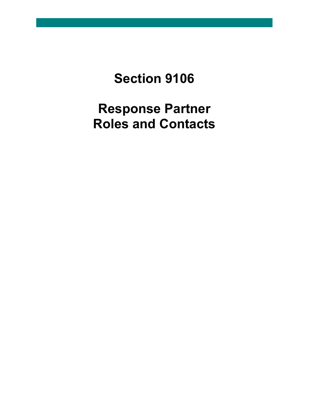**Section 9106**

**Response Partner Roles and Contacts**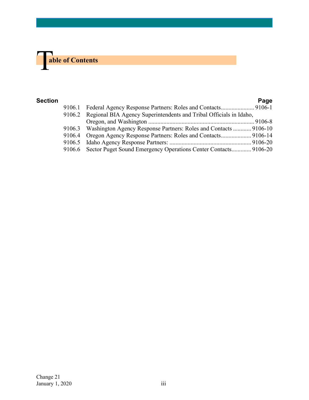

| Section |                                                                           | Page |
|---------|---------------------------------------------------------------------------|------|
|         | 9106.1 Federal Agency Response Partners: Roles and Contacts 9106-1        |      |
|         | 9106.2 Regional BIA Agency Superintendents and Tribal Officials in Idaho, |      |
|         |                                                                           |      |
|         | 9106.3 Washington Agency Response Partners: Roles and Contacts  9106-10   |      |
|         | 9106.4 Oregon Agency Response Partners: Roles and Contacts 9106-14        |      |
|         |                                                                           |      |
|         | 9106.6 Sector Puget Sound Emergency Operations Center Contacts 9106-20    |      |
|         |                                                                           |      |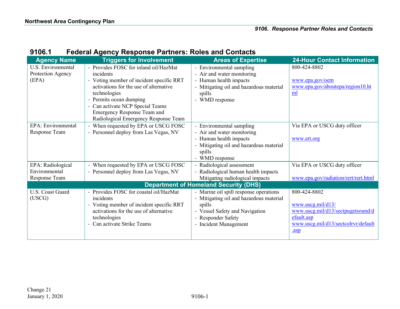| 9106.1 |  | <b>Federal Agency Response Partners: Roles and Contacts</b> |
|--------|--|-------------------------------------------------------------|
|--------|--|-------------------------------------------------------------|

<span id="page-2-0"></span>

| <b>Agency Name</b>                                      | <b>Triggers for Involvement</b>                                                                                                                                                                                                                      | <b>Areas of Expertise</b>                                                                                                                                                    | <b>24-Hour Contact Information</b>                                                                                                               |
|---------------------------------------------------------|------------------------------------------------------------------------------------------------------------------------------------------------------------------------------------------------------------------------------------------------------|------------------------------------------------------------------------------------------------------------------------------------------------------------------------------|--------------------------------------------------------------------------------------------------------------------------------------------------|
| <b>U.S. Environmental</b><br>Protection Agency<br>(EPA) | - Provides FOSC for inland oil/HazMat<br>incidents<br>- Voting member of incident specific RRT<br>activations for the use of alternative<br>technologies<br>Permits ocean dumping<br>- Can activate NCP Special Teams<br>Emergency Response Team and | - Environmental sampling<br>- Air and water monitoring<br>- Human health impacts<br>- Mitigating oil and hazardous material<br>spills<br>WMD response                        | 800-424-8802<br>www.epa.gov/oem<br>www.epa.gov/aboutepa/region10.ht<br>ml                                                                        |
|                                                         | Radiological Emergency Response Team                                                                                                                                                                                                                 |                                                                                                                                                                              |                                                                                                                                                  |
| EPA: Environmental<br>Response Team                     | - When requested by EPA or USCG FOSC<br>- Personnel deploy from Las Vegas, NV                                                                                                                                                                        | - Environmental sampling<br>- Air and water monitoring<br>- Human health impacts<br>- Mitigating oil and hazardous material<br>spills<br>- WMD response                      | Via EPA or USCG duty officer<br>www.ert.org                                                                                                      |
| EPA: Radiological                                       | - When requested by EPA or USCG FOSC                                                                                                                                                                                                                 | - Radiological assessment                                                                                                                                                    | Via EPA or USCG duty officer                                                                                                                     |
| Environmental<br>Response Team                          | - Personnel deploy from Las Vegas, NV                                                                                                                                                                                                                | - Radiological human health impacts<br>Mitigating radiological impacts                                                                                                       | www.epa.gov/radiation/rert/rert.html                                                                                                             |
|                                                         |                                                                                                                                                                                                                                                      | <b>Department of Homeland Security (DHS)</b>                                                                                                                                 |                                                                                                                                                  |
| <b>U.S. Coast Guard</b><br>(USCG)                       | - Provides FOSC for coastal oil/HazMat<br>incidents<br>- Voting member of incident specific RRT<br>activations for the use of alternative<br>technologies<br>- Can activate Strike Teams                                                             | - Marine oil spill response operations<br>- Mitigating oil and hazardous material<br>spills<br>- Vessel Safety and Navigation<br>- Responder Safety<br>- Incident Management | 800-424-8802<br>www.uscg.mil/d <sub>13</sub> /<br>www.uscg.mil/d13/sectpugetsound/d<br>efault.asp<br>www.uscg.mil/d13/sectcolrvr/default<br>.asp |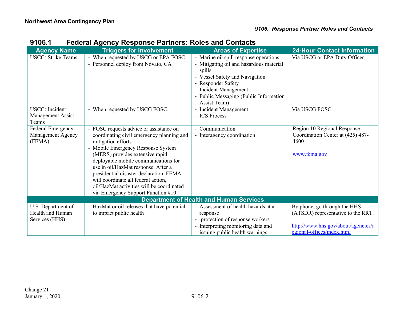| <b>Agency Name</b>                                       | <b>Triggers for Involvement</b>                                                                                                                                                                                                                                                                                                                                                                                                         | <b>Areas of Expertise</b>                                                                                                                                                                                                              | <b>24-Hour Contact Information</b>                                                                                                      |
|----------------------------------------------------------|-----------------------------------------------------------------------------------------------------------------------------------------------------------------------------------------------------------------------------------------------------------------------------------------------------------------------------------------------------------------------------------------------------------------------------------------|----------------------------------------------------------------------------------------------------------------------------------------------------------------------------------------------------------------------------------------|-----------------------------------------------------------------------------------------------------------------------------------------|
| <b>USCG: Strike Teams</b>                                | - When requested by USCG or EPA FOSC<br>- Personnel deploy from Novato, CA                                                                                                                                                                                                                                                                                                                                                              | - Marine oil spill response operations<br>- Mitigating oil and hazardous material<br>spills<br>- Vessel Safety and Navigation<br>- Responder Safety<br>- Incident Management<br>- Public Messaging (Public Information<br>Assist Team) | Via USCG or EPA Duty Officer                                                                                                            |
| <b>USCG</b> : Incident<br>Management Assist<br>Teams     | - When requested by USCG FOSC                                                                                                                                                                                                                                                                                                                                                                                                           | - Incident Management<br>- ICS Process                                                                                                                                                                                                 | Via USCG FOSC                                                                                                                           |
| Federal Emergency<br>Management Agency<br>(FEMA)         | - FOSC requests advice or assistance on<br>coordinating civil emergency planning and<br>mitigation efforts<br>- Mobile Emergency Response System<br>(MERS) provides extensive rapid<br>deployable mobile communications for<br>use in oil/HazMat response. After a<br>presidential disaster declaration, FEMA<br>will coordinate all federal action,<br>oil/HazMat activities will be coordinated<br>via Emergency Support Function #10 | - Communication<br>- Interagency coordination                                                                                                                                                                                          | Region 10 Regional Response<br>Coordination Center at (425) 487-<br>4600<br>www.fema.gov                                                |
|                                                          |                                                                                                                                                                                                                                                                                                                                                                                                                                         | <b>Department of Health and Human Services</b>                                                                                                                                                                                         |                                                                                                                                         |
| U.S. Department of<br>Health and Human<br>Services (HHS) | - HazMat or oil releases that have potential<br>to impact public health                                                                                                                                                                                                                                                                                                                                                                 | - Assessment of health hazards at a<br>response<br>protection of response workers<br>- Interpreting monitoring data and<br>issuing public health warnings                                                                              | By phone, go through the HHS<br>(ATSDR) representative to the RRT.<br>http://www.hhs.gov/about/agencies/r<br>egional-offices/index.html |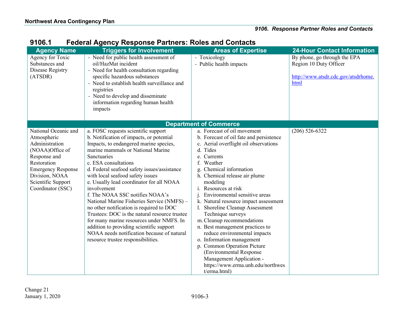| <b>Agency Name</b>                                                                                                                                                                                | <b>Triggers for Involvement</b>                                                                                                                                                                                                                                                                                                                                                                                                                                                                                                                                                                                                                                                                               | <b>Areas of Expertise</b>                                                                                                                                                                                                                                                                                                                                                                                                                                                                                                                                                                                                                                           | <b>24-Hour Contact Information</b>                                                                    |
|---------------------------------------------------------------------------------------------------------------------------------------------------------------------------------------------------|---------------------------------------------------------------------------------------------------------------------------------------------------------------------------------------------------------------------------------------------------------------------------------------------------------------------------------------------------------------------------------------------------------------------------------------------------------------------------------------------------------------------------------------------------------------------------------------------------------------------------------------------------------------------------------------------------------------|---------------------------------------------------------------------------------------------------------------------------------------------------------------------------------------------------------------------------------------------------------------------------------------------------------------------------------------------------------------------------------------------------------------------------------------------------------------------------------------------------------------------------------------------------------------------------------------------------------------------------------------------------------------------|-------------------------------------------------------------------------------------------------------|
| Agency for Toxic<br>Substances and<br>Disease Registry<br>(ATSDR)                                                                                                                                 | - Need for public health assessment of<br>oil/HazMat incident<br>- Need for health consultation regarding<br>specific hazardous substances<br>- Need to establish health surveillance and<br>registries<br>- Need to develop and disseminate<br>information regarding human health<br>impacts                                                                                                                                                                                                                                                                                                                                                                                                                 | - Toxicology<br>- Public health impacts                                                                                                                                                                                                                                                                                                                                                                                                                                                                                                                                                                                                                             | By phone, go through the EPA<br>Region 10 Duty Officer<br>http://www.atsdr.cdc.gov/atsdrhome.<br>html |
|                                                                                                                                                                                                   |                                                                                                                                                                                                                                                                                                                                                                                                                                                                                                                                                                                                                                                                                                               | <b>Department of Commerce</b>                                                                                                                                                                                                                                                                                                                                                                                                                                                                                                                                                                                                                                       |                                                                                                       |
| National Oceanic and<br>Atmospheric<br>Administration<br>(NOAA)Office of<br>Response and<br>Restoration<br><b>Emergency Response</b><br>Division, NOAA<br>Scientific Support<br>Coordinator (SSC) | a. FOSC requests scientific support<br>b. Notification of impacts, or potential<br>Impacts, to endangered marine species,<br>marine mammals or National Marine<br>Sanctuaries<br>c. ESA consultations<br>d. Federal seafood safety issues/assistance<br>with local seafood safety issues<br>e. Usually lead coordinator for all NOAA<br>involvement<br>f. The NOAA SSC notifies NOAA's<br>National Marine Fisheries Service (NMFS) -<br>no other notification is required to DOC<br>Trustees: DOC is the natural resource trustee<br>for many marine resources under NMFS. In<br>addition to providing scientific support<br>NOAA needs notification because of natural<br>resource trustee responsibilities. | a. Forecast of oil movement<br>b. Forecast of oil fate and persistence<br>c. Aerial overflight oil observations<br>d. Tides<br>e. Currents<br>f. Weather<br>g. Chemical information<br>h. Chemical release air plume<br>modeling<br>i. Resources at risk<br>Environmental sensitive areas<br>k. Natural resource impact assessment<br>1. Shoreline Cleanup Assessment<br>Technique surveys<br>m. Cleanup recommendations<br>n. Best management practices to<br>reduce environmental impacts<br>o. Information management<br>p. Common Operation Picture<br>(Environmental Response<br>Management Application -<br>https://www.erma.unh.edu/northwes<br>t/erma.html) | $(206)$ 526-6322                                                                                      |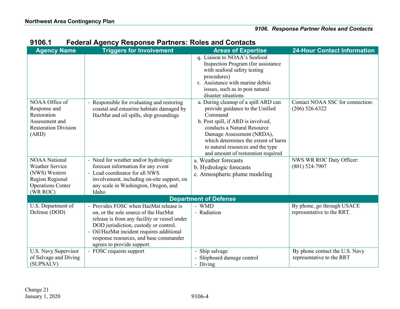| <b>Agency Name</b>          | <b>Triggers for Involvement</b>                                                     | <b>Areas of Expertise</b>                  | <b>24-Hour Contact Information</b> |
|-----------------------------|-------------------------------------------------------------------------------------|--------------------------------------------|------------------------------------|
|                             |                                                                                     | q. Liaison to NOAA's Seafood               |                                    |
|                             |                                                                                     | Inspection Program (for assistance         |                                    |
|                             |                                                                                     | with seafood safety testing                |                                    |
|                             |                                                                                     | procedures)                                |                                    |
|                             |                                                                                     | r. Assistance with marine debris           |                                    |
|                             |                                                                                     | issues, such as in post natural            |                                    |
|                             |                                                                                     | disaster situations                        |                                    |
| NOAA Office of              | - Responsible for evaluating and restoring                                          | a. During cleanup of a spill ARD can       | Contact NOAA SSC for connection:   |
| Response and<br>Restoration | coastal and estuarine habitats damaged by<br>HazMat and oil spills, ship groundings | provide guidance to the Unified<br>Command | $(206)$ 526-6322                   |
| Assessment and              |                                                                                     | b. Post spill, if ARD is involved,         |                                    |
| <b>Restoration Division</b> |                                                                                     | conducts a Natural Resource                |                                    |
| (ARD)                       |                                                                                     | Damage Assessment (NRDA),                  |                                    |
|                             |                                                                                     | which determines the extent of harm        |                                    |
|                             |                                                                                     | to natural resources and the type          |                                    |
|                             |                                                                                     | and amount of restoration required         |                                    |
| <b>NOAA National</b>        | - Need for weather and/or hydrologic                                                | a. Weather forecasts                       | NWS WR ROC Duty Officer:           |
| <b>Weather Service</b>      | forecast information for any event                                                  | b. Hydrologic forecasts                    | $(801)$ 524-7907                   |
| (NWS) Western               | - Lead coordinator for all NWS                                                      | c. Atmospheric plume modeling              |                                    |
| Region Regional             | involvement, including on-site support, on                                          |                                            |                                    |
| <b>Operations Center</b>    | any scale in Washington, Oregon, and                                                |                                            |                                    |
| (WR ROC)                    | Idaho                                                                               |                                            |                                    |
|                             |                                                                                     | <b>Department of Defense</b>               |                                    |
| U.S. Department of          | - Provides FOSC when HazMat release is                                              | - WMD                                      | By phone, go through USACE         |
| Defense (DOD)               | on, or the sole source of the HazMat                                                | - Radiation                                | representative to the RRT.         |
|                             | release is from any facility or vessel under                                        |                                            |                                    |
|                             | DOD jurisdiction, custody or control.<br>- Oil/HazMat incident requires additional  |                                            |                                    |
|                             | response resources, and base commander                                              |                                            |                                    |
|                             | agrees to provide support.                                                          |                                            |                                    |
| U.S. Navy Supervisor        | - FOSC requests support                                                             | - Ship salvage                             | By phone contact the U.S. Navy     |
| of Salvage and Diving       |                                                                                     | - Shipboard damage control                 | representative to the RRT          |
| (SUPSALV)                   |                                                                                     | - Diving                                   |                                    |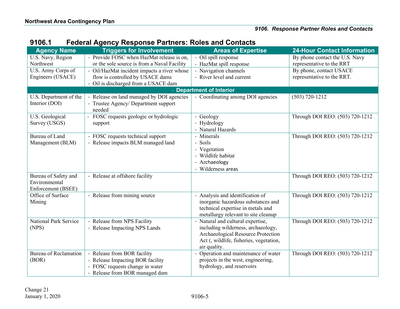| <b>Agency Name</b>           | <b>Triggers for Involvement</b>                | <b>Areas of Expertise</b>                                                     | <b>24-Hour Contact Information</b> |
|------------------------------|------------------------------------------------|-------------------------------------------------------------------------------|------------------------------------|
| U.S. Navy, Region            | - Provide FOSC when HazMat release is on,      | - Oil spill response                                                          | By phone contact the U.S. Navy     |
| Northwest                    | or the sole source is from a Naval Facility    | - HazMat spill response                                                       | representative to the RRT          |
| U.S. Army Corps of           | - Oil/HazMat incident impacts a river whose    | - Navigation channels                                                         | By phone, contact USACE            |
| Engineers (USACE)            | flow is controlled by USACE dams               | - River level and current                                                     | representative to the RRT.         |
|                              | - Oil is discharged from a USACE dam           |                                                                               |                                    |
|                              |                                                | - Department of Interior                                                      |                                    |
| U.S. Department of the       | - Release on land managed by DOI agencies      | - Coordinating among DOI agencies                                             | $(503) 720 - 1212$                 |
| Interior (DOI)               | - Trustee Agency/ Department support<br>needed |                                                                               |                                    |
| U.S. Geological              | FOSC requests geologic or hydrologic           | - Geology                                                                     | Through DOI REO: (503) 720-1212    |
| Survey (USGS)                | support                                        | - Hydrology                                                                   |                                    |
|                              |                                                | - Natural Hazards                                                             |                                    |
| Bureau of Land               | - FOSC requests technical support              | - Minerals                                                                    | Through DOI REO: (503) 720-1212    |
| Management (BLM)             | - Release impacts BLM managed land             | - Soils                                                                       |                                    |
|                              |                                                | - Vegetation                                                                  |                                    |
|                              |                                                | - Wildlife habitat                                                            |                                    |
|                              |                                                | - Archaeology                                                                 |                                    |
|                              |                                                | Wilderness areas                                                              |                                    |
| Bureau of Safety and         | - Release at offshore facility                 |                                                                               | Through DOI REO: (503) 720-1212    |
| Environmental                |                                                |                                                                               |                                    |
| Enforcement (BSEE)           |                                                |                                                                               |                                    |
| Office of Surface            | - Release from mining source                   | Analysis and identification of                                                | Through DOI REO: (503) 720-1212    |
| Mining                       |                                                | inorganic hazardous substances and                                            |                                    |
|                              |                                                | technical expertise in metals and                                             |                                    |
|                              |                                                | metallurgy relevant to site cleanup                                           |                                    |
| National Park Service        | - Release from NPS Facility                    | Natural and cultural expertise,                                               | Through DOI REO: (503) 720-1212    |
| (NPS)                        | - Release Impacting NPS Lands                  | including wilderness, archaeology,                                            |                                    |
|                              |                                                | Archaeological Resource Protection<br>Act (, wildlife, fisheries, vegetation, |                                    |
|                              |                                                | air quality.                                                                  |                                    |
| <b>Bureau of Reclamation</b> | - Release from BOR facility                    | Operation and maintenance of water                                            | Through DOI REO: (503) 720-1212    |
| (BOR)                        | - Release Impacting BOR facility               | projects in the west, engineering,                                            |                                    |
|                              | - FOSC requests change in water                | hydrology, and reservoirs                                                     |                                    |
|                              | - Release from BOR managed dam                 |                                                                               |                                    |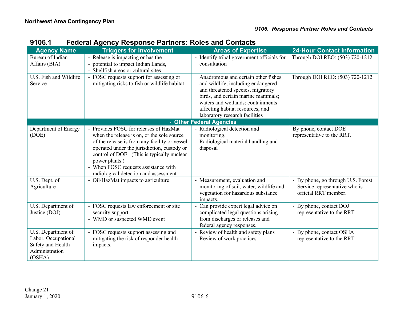| <b>Agency Name</b>                                                                         | <b>Triggers for Involvement</b>                                                                                                                                                                                                                                                                                                       | <b>Areas of Expertise</b>                                                                                                                                                                                                                                       | <b>24-Hour Contact Information</b>                                                          |
|--------------------------------------------------------------------------------------------|---------------------------------------------------------------------------------------------------------------------------------------------------------------------------------------------------------------------------------------------------------------------------------------------------------------------------------------|-----------------------------------------------------------------------------------------------------------------------------------------------------------------------------------------------------------------------------------------------------------------|---------------------------------------------------------------------------------------------|
| Bureau of Indian                                                                           | - Release is impacting or has the                                                                                                                                                                                                                                                                                                     | - Identify tribal government officials for                                                                                                                                                                                                                      | Through DOI REO: (503) 720-1212                                                             |
| Affairs (BIA)                                                                              | - potential to impact Indian Lands,<br>- Shellfish areas or cultural sites                                                                                                                                                                                                                                                            | consultation                                                                                                                                                                                                                                                    |                                                                                             |
| U.S. Fish and Wildlife<br>Service                                                          | - FOSC requests support for assessing or<br>mitigating risks to fish or wildlife habitat                                                                                                                                                                                                                                              | Anadromous and certain other fishes<br>and wildlife, including endangered<br>and threatened species, migratory<br>birds, and certain marine mammals;<br>waters and wetlands; containments<br>affecting habitat resources; and<br>laboratory research facilities | Through DOI REO: (503) 720-1212                                                             |
|                                                                                            |                                                                                                                                                                                                                                                                                                                                       | - Other Federal Agencies                                                                                                                                                                                                                                        |                                                                                             |
| Department of Energy<br>(DOE)                                                              | - Provides FOSC for releases of HazMat<br>when the release is on, or the sole source<br>of the release is from any facility or vessel<br>operated under the jurisdiction, custody or<br>control of DOE. (This is typically nuclear<br>power plants.)<br>- When FOSC requests assistance with<br>radiological detection and assessment | - Radiological detection and<br>monitoring.<br>- Radiological material handling and<br>disposal                                                                                                                                                                 | By phone, contact DOE<br>representative to the RRT.                                         |
| U.S. Dept. of<br>Agriculture                                                               | - Oil/HazMat impacts to agriculture                                                                                                                                                                                                                                                                                                   | - Measurement, evaluation and<br>monitoring of soil, water, wildlife and<br>vegetation for hazardous substance<br>impacts.                                                                                                                                      | - By phone, go through U.S. Forest<br>Service representative who is<br>official RRT member. |
| U.S. Department of<br>Justice (DOJ)                                                        | - FOSC requests law enforcement or site<br>security support<br>- WMD or suspected WMD event                                                                                                                                                                                                                                           | Can provide expert legal advice on<br>complicated legal questions arising<br>from discharges or releases and<br>federal agency responses.                                                                                                                       | - By phone, contact DOJ<br>representative to the RRT                                        |
| U.S. Department of<br>Labor, Occupational<br>Safety and Health<br>Administration<br>(OSHA) | - FOSC requests support assessing and<br>mitigating the risk of responder health<br>impacts.                                                                                                                                                                                                                                          | Review of health and safety plans<br>- Review of work practices                                                                                                                                                                                                 | - By phone, contact OSHA<br>representative to the RRT                                       |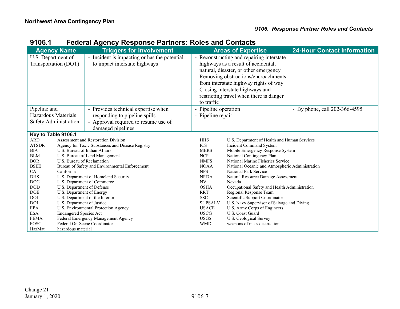|                                                        | <b>Agency Name</b>                                                                                                                                         | <b>Triggers for Involvement</b>                                                                                                   |                                                       | <b>Areas of Expertise</b>                                                                                                                                                                                                                                                                   | <b>24-Hour Contact Information</b> |
|--------------------------------------------------------|------------------------------------------------------------------------------------------------------------------------------------------------------------|-----------------------------------------------------------------------------------------------------------------------------------|-------------------------------------------------------|---------------------------------------------------------------------------------------------------------------------------------------------------------------------------------------------------------------------------------------------------------------------------------------------|------------------------------------|
| U.S. Department of                                     | Transportation (DOT)                                                                                                                                       | - Incident is impacting or has the potential<br>to impact interstate highways                                                     | to traffic                                            | - Reconstructing and repairing interstate<br>highways as a result of accidental,<br>natural, disaster, or other emergency<br>- Removing obstructions/encroachments<br>from interstate highway rights of way<br>- Closing interstate highways and<br>restricting travel when there is danger |                                    |
| Pipeline and<br>Hazardous Materials                    | Safety Administration                                                                                                                                      | - Provides technical expertise when<br>responding to pipeline spills<br>- Approval required to resume use of<br>damaged pipelines | - Pipeline operation<br>- Pipeline repair             |                                                                                                                                                                                                                                                                                             | - By phone, call 202-366-4595      |
| Key to Table 9106.1                                    |                                                                                                                                                            |                                                                                                                                   |                                                       |                                                                                                                                                                                                                                                                                             |                                    |
| <b>ARD</b><br><b>ATSDR</b><br><b>BIA</b><br><b>BLM</b> | Assessment and Restoration Division<br>Agency for Toxic Substances and Disease Registry<br>U.S. Bureau of Indian Affairs<br>U.S. Bureau of Land Management |                                                                                                                                   | <b>HHS</b><br><b>ICS</b><br><b>MERS</b><br><b>NCP</b> | U.S. Department of Health and Human Services<br>Incident Command System<br>Mobile Emergency Response System<br>National Contingency Plan                                                                                                                                                    |                                    |
| <b>BOR</b><br><b>BSEE</b><br>CA                        | U.S. Bureau of Reclamation<br>Bureau of Safety and Environmental Enforcement<br>California                                                                 |                                                                                                                                   | <b>NMFS</b><br><b>NOAA</b><br><b>NPS</b>              | National Marine Fisheries Service<br>National Oceanic and Atmospheric Administration<br>National Park Service                                                                                                                                                                               |                                    |
| <b>DHS</b><br>DOC                                      | U.S. Department of Homeland Security<br>U.S. Department of Commerce                                                                                        |                                                                                                                                   | <b>NRDA</b><br>NV                                     | Natural Resource Damage Assessment<br>Nevada                                                                                                                                                                                                                                                |                                    |
| <b>DOD</b><br>DOE<br>DOI                               | U.S. Department of Defense<br>U.S. Department of Energy<br>U.S. Department of the Interior                                                                 |                                                                                                                                   | <b>OSHA</b><br><b>RRT</b><br><b>SSC</b>               | Occupational Safety and Health Administration<br>Regional Response Team<br>Scientific Support Coordinator                                                                                                                                                                                   |                                    |
| <b>DOJ</b><br><b>EPA</b><br><b>ESA</b>                 | U.S. Department of Justice<br>U.S. Environmental Protection Agency                                                                                         |                                                                                                                                   | <b>SUPSALV</b><br><b>USACE</b><br><b>USCG</b>         | U.S. Navy Supervisor of Salvage and Diving<br>U.S. Army Corps of Engineers<br>U.S. Coast Guard                                                                                                                                                                                              |                                    |
| <b>FEMA</b><br><b>FOSC</b>                             | <b>Endangered Species Act</b><br>Federal Emergency Management Agency<br>Federal On-Scene Coordinator                                                       |                                                                                                                                   | <b>USGS</b><br><b>WMD</b>                             | U.S. Geological Survey<br>weapons of mass destruction                                                                                                                                                                                                                                       |                                    |

# **9106.1 Federal Agency Response Partners: Roles and Contacts**

HazMat hazardous material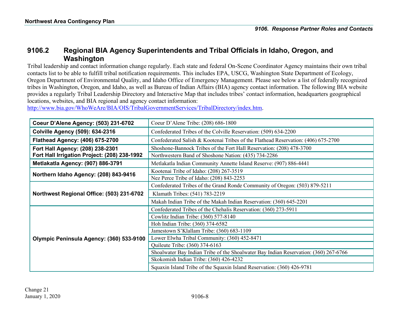## **9106.2 Regional BIA Agency Superintendents and Tribal Officials in Idaho, Oregon, and Washington**

Tribal leadership and contact information change regularly. Each state and federal On-Scene Coordinator Agency maintains their own tribal contacts list to be able to fulfill tribal notification requirements. This includes EPA, USCG, Washington State Department of Ecology, Oregon Department of Environmental Quality, and Idaho Office of Emergency Management. Please see below a list of federally recognized tribes in Washington, Oregon, and Idaho, as well as Bureau of Indian Affairs (BIA) agency contact information. The following BIA website provides a regularly Tribal Leadership Directory and Interactive Map that includes tribes' contact information, headquarters geographical locations, websites, and BIA regional and agency contact information:

[http://www.bia.gov/WhoWeAre/BIA/OIS/TribalGovernmentServices/TribalDirectory/index.htm.](http://www.bia.gov/WhoWeAre/BIA/OIS/TribalGovernmentServices/TribalDirectory/index.htm)

<span id="page-9-0"></span>

| Coeur D'Alene Agency: (503) 231-6702         | Coeur D'Alene Tribe: (208) 686-1800                                                  |
|----------------------------------------------|--------------------------------------------------------------------------------------|
| <b>Colville Agency (509): 634-2316</b>       | Confederated Tribes of the Colville Reservation: (509) 634-2200                      |
| <b>Flathead Agency: (406) 675-2700</b>       | Confederated Salish & Kootenai Tribes of the Flathead Reservation: (406) 675-2700    |
| Fort Hall Agency: (208) 238-2301             | Shoshone-Bannock Tribes of the Fort Hall Reservation: (208) 478-3700                 |
| Fort Hall Irrigation Project: (208) 238-1992 | Northwestern Band of Shoshone Nation: (435) 734-2286                                 |
| Metlakatla Agency: (907) 886-3791            | Metlakatla Indian Community Annette Island Reserve: (907) 886-4441                   |
|                                              | Kootenai Tribe of Idaho: (208) 267-3519                                              |
| Northern Idaho Agency: (208) 843-9416        | Nez Perce Tribe of Idaho: (208) 843-2253                                             |
|                                              | Confederated Tribes of the Grand Ronde Community of Oregon: (503) 879-5211           |
| Northwest Regional Office: (503) 231-6702    | Klamath Tribes: (541) 783-2219                                                       |
|                                              | Makah Indian Tribe of the Makah Indian Reservation: (360) 645-2201                   |
|                                              | Confederated Tribes of the Chehalis Reservation: (360) 273-5911                      |
|                                              | Cowlitz Indian Tribe: (360) 577-8140                                                 |
|                                              | Hoh Indian Tribe: (360) 374-6582                                                     |
|                                              | Jamestown S'Klallam Tribe: (360) 683-1109                                            |
| Olympic Peninsula Agency: (360) 533-9100     | Lower Elwha Tribal Community: (360) 452-8471                                         |
|                                              | Quileute Tribe: (360) 374-6163                                                       |
|                                              | Shoalwater Bay Indian Tribe of the Shoalwater Bay Indian Reservation: (360) 267-6766 |
|                                              | Skokomish Indian Tribe: (360) 426-4232                                               |
|                                              | Squaxin Island Tribe of the Squaxin Island Reservation: (360) 426-9781               |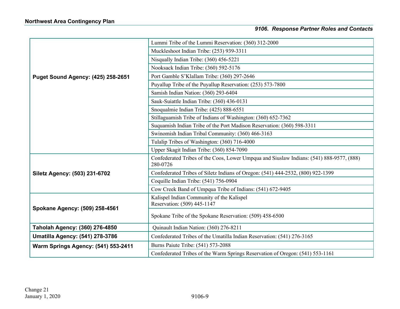|                                           | Lummi Tribe of the Lummi Reservation: (360) 312-2000                                                 |
|-------------------------------------------|------------------------------------------------------------------------------------------------------|
|                                           | Muckleshoot Indian Tribe: (253) 939-3311                                                             |
|                                           | Nisqually Indian Tribe: (360) 456-5221                                                               |
|                                           | Nooksack Indian Tribe: (360) 592-5176                                                                |
| <b>Puget Sound Agency: (425) 258-2651</b> | Port Gamble S'Klallam Tribe: (360) 297-2646                                                          |
|                                           | Puyallup Tribe of the Puyallup Reservation: (253) 573-7800                                           |
|                                           | Samish Indian Nation: (360) 293-6404                                                                 |
|                                           | Sauk-Suiattle Indian Tribe: (360) 436-0131                                                           |
|                                           | Snoqualmie Indian Tribe: (425) 888-6551                                                              |
|                                           | Stillaguamish Tribe of Indians of Washington: (360) 652-7362                                         |
|                                           | Suquamish Indian Tribe of the Port Madison Reservation: (360) 598-3311                               |
|                                           | Swinomish Indian Tribal Community: (360) 466-3163                                                    |
|                                           | Tulalip Tribes of Washington: (360) 716-4000                                                         |
|                                           | Upper Skagit Indian Tribe: (360) 854-7090                                                            |
|                                           | Confederated Tribes of the Coos, Lower Umpqua and Siuslaw Indians: (541) 888-9577, (888)<br>280-0726 |
| Siletz Agency: (503) 231-6702             | Confederated Tribes of Siletz Indians of Oregon: (541) 444-2532, (800) 922-1399                      |
|                                           | Coquille Indian Tribe: (541) 756-0904                                                                |
|                                           | Cow Creek Band of Umpqua Tribe of Indians: (541) 672-9405                                            |
| Spokane Agency: (509) 258-4561            | Kalispel Indian Community of the Kalispel<br>Reservation: (509) 445-1147                             |
|                                           | Spokane Tribe of the Spokane Reservation: (509) 458-6500                                             |
| Taholah Agency: (360) 276-4850            | Quinault Indian Nation: (360) 276-8211                                                               |
| <b>Umatilla Agency: (541) 278-3786</b>    | Confederated Tribes of the Umatilla Indian Reservation: (541) 276-3165                               |
| Warm Springs Agency: (541) 553-2411       | Burns Paiute Tribe: (541) 573-2088                                                                   |
|                                           | Confederated Tribes of the Warm Springs Reservation of Oregon: (541) 553-1161                        |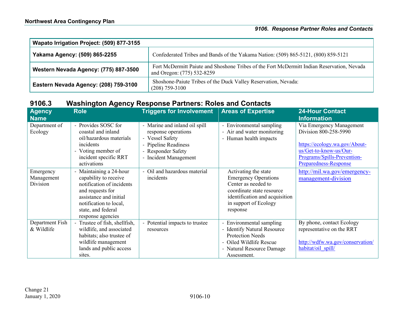| Wapato Irrigation Project: (509) 877-3155 |                                                                                                                          |  |  |
|-------------------------------------------|--------------------------------------------------------------------------------------------------------------------------|--|--|
| Yakama Agency: (509) 865-2255             | Confederated Tribes and Bands of the Yakama Nation: (509) 865-5121, (800) 859-5121                                       |  |  |
| Western Nevada Agency: (775) 887-3500     | Fort McDermitt Paiute and Shoshone Tribes of the Fort McDermitt Indian Reservation, Nevada<br>and Oregon: (775) 532-8259 |  |  |
| Eastern Nevada Agency: (208) 759-3100     | Shoshone-Paiute Tribes of the Duck Valley Reservation, Nevada:<br>$(208)$ 759-3100                                       |  |  |

# **9106.3 Washington Agency Response Partners: Roles and Contacts**

<span id="page-11-0"></span>

| <b>Agency</b><br><b>Name</b>        | <b>Role</b>                                                                                                                                                                                      | <b>Triggers for Involvement</b>                                                                                                                | <b>Areas of Expertise</b>                                                                                                                                                      | <b>24-Hour Contact</b><br><b>Information</b>                                                                                                                                |
|-------------------------------------|--------------------------------------------------------------------------------------------------------------------------------------------------------------------------------------------------|------------------------------------------------------------------------------------------------------------------------------------------------|--------------------------------------------------------------------------------------------------------------------------------------------------------------------------------|-----------------------------------------------------------------------------------------------------------------------------------------------------------------------------|
| Department of<br>Ecology            | - Provides SOSC for<br>coastal and inland<br>oil/hazardous materials<br>incidents<br>- Voting member of<br>incident specific RRT<br>activations                                                  | - Marine and inland oil spill<br>response operations<br>- Vessel Safety<br>- Pipeline Readiness<br>- Responder Safety<br>- Incident Management | - Environmental sampling<br>- Air and water monitoring<br>- Human health impacts                                                                                               | Via Emergency Management<br>Division 800-258-5990<br>https://ecology.wa.gov/About-<br>us/Get-to-know-us/Our-<br>Programs/Spills-Prevention-<br><b>Preparedness-Response</b> |
| Emergency<br>Management<br>Division | - Maintaining a 24-hour<br>capability to receive<br>notification of incidents<br>and requests for<br>assistance and initial<br>notification to local,<br>state, and federal<br>response agencies | - Oil and hazardous material<br>incidents                                                                                                      | Activating the state<br><b>Emergency Operations</b><br>Center as needed to<br>coordinate state resource<br>identification and acquisition<br>in support of Ecology<br>response | http://mil.wa.gov/emergency-<br>management-division                                                                                                                         |
| Department Fish<br>& Wildlife       | - Trustee of fish, shellfish,<br>wildlife, and associated<br>habitats; also trustee of<br>wildlife management<br>lands and public access<br>sites.                                               | - Potential impacts to trustee<br>resources                                                                                                    | - Environmental sampling<br>- Identify Natural Resource<br><b>Protection Needs</b><br>- Oiled Wildlife Rescue<br>- Natural Resource Damage<br>Assessment.                      | By phone, contact Ecology<br>representative on the RRT<br>http://wdfw.wa.gov/conservation/<br>habitat/oil spill/                                                            |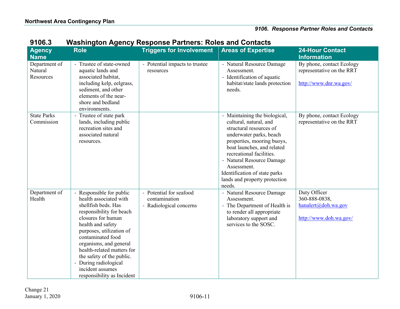| ,,,,,,                                |                                                                                                                                                                                                                                                                                                                                                                                             | onngwn Agunuy Iwapunuu Farinuru. Iwidu ana uur                      |                                                                                                                                                                                                                                                                                                                               |                                                                                   |
|---------------------------------------|---------------------------------------------------------------------------------------------------------------------------------------------------------------------------------------------------------------------------------------------------------------------------------------------------------------------------------------------------------------------------------------------|---------------------------------------------------------------------|-------------------------------------------------------------------------------------------------------------------------------------------------------------------------------------------------------------------------------------------------------------------------------------------------------------------------------|-----------------------------------------------------------------------------------|
| <b>Agency</b><br><b>Name</b>          | <b>Role</b>                                                                                                                                                                                                                                                                                                                                                                                 | <b>Triggers for Involvement</b>                                     | <b>Areas of Expertise</b>                                                                                                                                                                                                                                                                                                     | <b>24-Hour Contact</b><br><b>Information</b>                                      |
| Department of<br>Natural<br>Resources | - Trustee of state-owned<br>aquatic lands and<br>associated habitat,<br>including kelp, eelgrass,<br>sediment, and other<br>elements of the near-<br>shore and bedland<br>environments.                                                                                                                                                                                                     | - Potential impacts to trustee<br>resources                         | - Natural Resource Damage<br>Assessment.<br>- Identification of aquatic<br>habitat/state lands protection<br>needs.                                                                                                                                                                                                           | By phone, contact Ecology<br>representative on the RRT<br>http://www.dnr.wa.gov/  |
| <b>State Parks</b><br>Commission      | Trustee of state park<br>lands, including public<br>recreation sites and<br>associated natural<br>resources.                                                                                                                                                                                                                                                                                |                                                                     | - Maintaining the biological,<br>cultural, natural, and<br>structural resources of<br>underwater parks, beach<br>properties, mooring buoys,<br>boat launches, and related<br>recreational facilities.<br>- Natural Resource Damage<br>Assessment.<br>Identification of state parks<br>lands and property protection<br>needs. | By phone, contact Ecology<br>representative on the RRT                            |
| Department of<br>Health               | Responsible for public<br>$\overline{\phantom{0}}$<br>health associated with<br>shellfish beds. Has<br>responsibility for beach<br>closures for human<br>health and safety<br>purposes, utilization of<br>contaminated food<br>organisms, and general<br>health-related matters for<br>the safety of the public.<br>- During radiological<br>incident assumes<br>responsibility as Incident | - Potential for seafood<br>contamination<br>- Radiological concerns | - Natural Resource Damage<br>Assessment.<br>- The Department of Health is<br>to render all appropriate<br>laboratory support and<br>services to the SOSC.                                                                                                                                                                     | Duty Officer<br>360-888-0838,<br>$h$ analert@doh.wa.gov<br>http://www.doh.wa.gov/ |

## **9106.3 Washington Agency Response Partners: Roles and Contacts**

Change 21 January 1, 2020 9106-11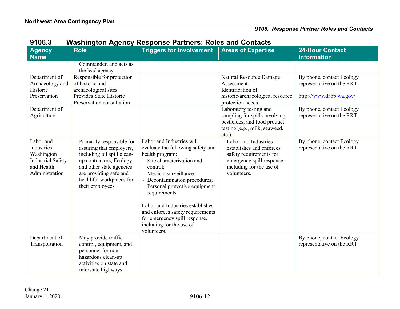| <b>Agency</b><br><b>Name</b>                                                                       | g <sub>.</sub><br><b>Role</b>                                                                                                                                                                                        | <b>Triggers for Involvement</b>                                                                                                                                                                                                                                                                                                                                                                | <b>Areas of Expertise</b>                                                                                                                             | <b>24-Hour Contact</b><br><b>Information</b>                                      |
|----------------------------------------------------------------------------------------------------|----------------------------------------------------------------------------------------------------------------------------------------------------------------------------------------------------------------------|------------------------------------------------------------------------------------------------------------------------------------------------------------------------------------------------------------------------------------------------------------------------------------------------------------------------------------------------------------------------------------------------|-------------------------------------------------------------------------------------------------------------------------------------------------------|-----------------------------------------------------------------------------------|
|                                                                                                    | Commander, and acts as<br>the lead agency.                                                                                                                                                                           |                                                                                                                                                                                                                                                                                                                                                                                                |                                                                                                                                                       |                                                                                   |
| Department of<br>Archaeology and<br>Historic<br>Preservation                                       | Responsible for protection<br>of historic and<br>archaeological sites.<br>Provides State Historic<br>Preservation consultation                                                                                       |                                                                                                                                                                                                                                                                                                                                                                                                | Natural Resource Damage<br>Assessment.<br>Identification of<br>historic/archaeological resource<br>protection needs.                                  | By phone, contact Ecology<br>representative on the RRT<br>http://www.dahp.wa.gov/ |
| Department of<br>Agriculture                                                                       |                                                                                                                                                                                                                      |                                                                                                                                                                                                                                                                                                                                                                                                | Laboratory testing and<br>sampling for spills involving<br>pesticides; and food product<br>testing (e.g., milk, seaweed,<br>etc.).                    | By phone, contact Ecology<br>representative on the RRT                            |
| Labor and<br>Industries:<br>Washington<br><b>Industrial Safety</b><br>and Health<br>Administration | Primarily responsible for<br>assuring that employers,<br>including oil spill clean-<br>up contractors, Ecology,<br>and other state agencies<br>are providing safe and<br>healthful workplaces for<br>their employees | Labor and Industries will<br>evaluate the following safety and<br>health program:<br>- Site characterization and<br>control;<br>- Medical surveillance;<br>- Decontamination procedures;<br>Personal protective equipment<br>requirements.<br>Labor and Industries establishes<br>and enforces safety requirements<br>for emergency spill response,<br>including for the use of<br>volunteers. | - Labor and Industries<br>establishes and enforces<br>safety requirements for<br>emergency spill response,<br>including for the use of<br>volunteers. | By phone, contact Ecology<br>representative on the RRT                            |
| Department of<br>Transportation                                                                    | - May provide traffic<br>control, equipment, and<br>personnel for non-<br>hazardous clean-up<br>activities on state and<br>interstate highways.                                                                      |                                                                                                                                                                                                                                                                                                                                                                                                |                                                                                                                                                       | By phone, contact Ecology<br>representative on the RRT                            |

### **9106.3 Washington Agency Response Partners: Roles and Contacts**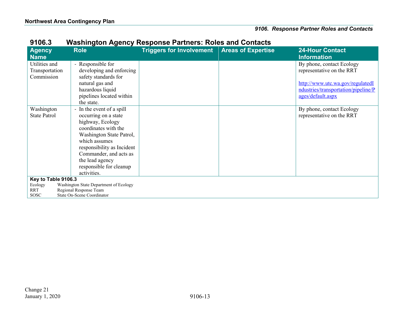| <b>Agency</b><br><b>Name</b>                  | <b>Role</b>                                                                                                                                                                                                                                                                                             | <b>Triggers for Involvement Areas of Expertise</b> | <b>24-Hour Contact</b><br><b>Information</b>                                                                                                           |
|-----------------------------------------------|---------------------------------------------------------------------------------------------------------------------------------------------------------------------------------------------------------------------------------------------------------------------------------------------------------|----------------------------------------------------|--------------------------------------------------------------------------------------------------------------------------------------------------------|
| Utilities and<br>Transportation<br>Commission | - Responsible for<br>developing and enforcing<br>safety standards for<br>natural gas and<br>hazardous liquid<br>pipelines located within                                                                                                                                                                |                                                    | By phone, contact Ecology<br>representative on the RRT<br>http://www.utc.wa.gov/regulatedI<br>ndustries/transportation/pipeline/P<br>ages/default.aspx |
| Washington<br><b>State Patrol</b>             | the state.<br>In the event of a spill<br>$\overline{\phantom{a}}$<br>occurring on a state<br>highway, Ecology<br>coordinates with the<br>Washington State Patrol,<br>which assumes<br>responsibility as Incident<br>Commander, and acts as<br>the lead agency<br>responsible for cleanup<br>activities. |                                                    | By phone, contact Ecology<br>representative on the RRT                                                                                                 |
| Key to Table 9106.3<br>Ecology<br>RRT         | Washington State Department of Ecology<br>Regional Response Team                                                                                                                                                                                                                                        |                                                    |                                                                                                                                                        |
| <b>SOSC</b>                                   | State On-Scene Coordinator                                                                                                                                                                                                                                                                              |                                                    |                                                                                                                                                        |

## **9106.3 Washington Agency Response Partners: Roles and Contacts**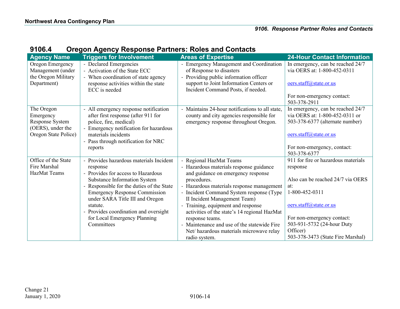| 9106.4 | <b>Oregon Agency Response Partners: Roles and Contacts</b> |
|--------|------------------------------------------------------------|
|--------|------------------------------------------------------------|

<span id="page-15-0"></span>

| <b>Agency Name</b>                                                                      | <b>Triggers for Involvement</b>                                                                                                                                                                                | <b>Areas of Expertise</b>                                                                                                                                                                                                     | <b>24-Hour Contact Information</b>                                                                                               |
|-----------------------------------------------------------------------------------------|----------------------------------------------------------------------------------------------------------------------------------------------------------------------------------------------------------------|-------------------------------------------------------------------------------------------------------------------------------------------------------------------------------------------------------------------------------|----------------------------------------------------------------------------------------------------------------------------------|
| Oregon Emergency<br>Management (under<br>the Oregon Military<br>Department)             | - Declared Emergencies<br>- Activation of the State ECC<br>- When coordination of state agency<br>response activities within the state<br>ECC is needed                                                        | <b>Emergency Management and Coordination</b><br>of Response to disasters<br>Providing public information officer<br>$\overline{\phantom{a}}$<br>support to Joint Information Centers or<br>Incident Command Posts, if needed. | In emergency, can be reached 24/7<br>via OERS at: 1-800-452-0311<br>oers.staff@state.or.us                                       |
|                                                                                         |                                                                                                                                                                                                                |                                                                                                                                                                                                                               | For non-emergency contact:<br>503-378-2911                                                                                       |
| The Oregon<br>Emergency<br>Response System<br>(OERS), under the<br>Oregon State Police) | - All emergency response notification<br>after first response (after 911 for<br>police, fire, medical)<br>- Emergency notification for hazardous<br>materials incidents<br>- Pass through notification for NRC | Maintains 24-hour notifications to all state,<br>county and city agencies responsible for<br>emergency response throughout Oregon.                                                                                            | In emergency, can be reached 24/7<br>via OERS at: 1-800-452-0311 or<br>503-378-6377 (alternate number)<br>oers.staff@state.or.us |
|                                                                                         | reports                                                                                                                                                                                                        |                                                                                                                                                                                                                               | For non-emergency, contact:<br>503-378-6377                                                                                      |
| Office of the State<br>Fire Marshal<br><b>HazMat Teams</b>                              | - Provides hazardous materials Incident<br>response<br>- Provides for access to Hazardous                                                                                                                      | - Regional HazMat Teams<br>- Hazardous materials response guidance<br>and guidance on emergency response                                                                                                                      | 911 for fire or hazardous materials<br>response                                                                                  |
|                                                                                         | Substance Information System<br>Responsible for the duties of the State<br><b>Emergency Response Commission</b><br>under SARA Title III and Oregon                                                             | procedures.<br>Hazardous materials response management<br>- Incident Command System response (Type<br>II Incident Management Team)                                                                                            | Also can be reached 24/7 via OERS<br>at:<br>1-800-452-0311                                                                       |
|                                                                                         | statute.<br>- Provides coordination and oversight<br>for Local Emergency Planning                                                                                                                              | Training, equipment and response<br>activities of the state's 14 regional HazMat<br>response teams.                                                                                                                           | oers.staff@state.or.us<br>For non-emergency contact:                                                                             |
|                                                                                         | Committees                                                                                                                                                                                                     | - Maintenance and use of the statewide Fire<br>Net/hazardous materials microwave relay                                                                                                                                        | 503-931-5732 (24-hour Duty<br>Officer)                                                                                           |
|                                                                                         |                                                                                                                                                                                                                | radio system.                                                                                                                                                                                                                 | 503-378-3473 (State Fire Marshal)                                                                                                |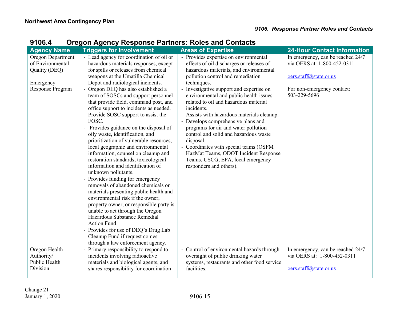| <b>Agency Name</b> | <b>Triggers for Involvement</b>          | <b>Areas of Expertise</b>                   | <b>24-Hour Contact Information</b> |
|--------------------|------------------------------------------|---------------------------------------------|------------------------------------|
| Oregon Department  | - Lead agency for coordination of oil or | - Provides expertise on environmental       | In emergency, can be reached 24/7  |
| of Environmental   | hazardous materials responses, except    | effects of oil discharges or releases of    | via OERS at: 1-800-452-0311        |
| Quality (DEQ)      | for spills or releases from chemical     | hazardous materials, and environmental      |                                    |
|                    | weapons at the Umatilla Chemical         | pollution control and remediation           | oers.staff@state.or.us             |
| Emergency          | Depot and radiological incidents.        | techniques.                                 |                                    |
| Response Program   | - Oregon DEQ has also established a      | - Investigative support and expertise on    | For non-emergency contact:         |
|                    | team of SOSCs and support personnel      | environmental and public health issues      | 503-229-5696                       |
|                    | that provide field, command post, and    | related to oil and hazardous material       |                                    |
|                    | office support to incidents as needed.   | incidents.                                  |                                    |
|                    | Provide SOSC support to assist the       | - Assists with hazardous materials cleanup. |                                    |
|                    | FOSC.                                    | Develops comprehensive plans and            |                                    |
|                    | - Provides guidance on the disposal of   | programs for air and water pollution        |                                    |
|                    | oily waste, identification, and          | control and solid and hazardous waste       |                                    |
|                    | prioritization of vulnerable resources,  | disposal.                                   |                                    |
|                    | local geographic and environmental       | Coordinates with special teams (OSFM        |                                    |
|                    | information, counsel on cleanup and      | HazMat Teams, ODOT Incident Response        |                                    |
|                    | restoration standards, toxicological     | Teams, USCG, EPA, local emergency           |                                    |
|                    | information and identification of        | responders and others).                     |                                    |
|                    | unknown pollutants.                      |                                             |                                    |
|                    | - Provides funding for emergency         |                                             |                                    |
|                    | removals of abandoned chemicals or       |                                             |                                    |
|                    | materials presenting public health and   |                                             |                                    |
|                    | environmental risk if the owner,         |                                             |                                    |
|                    | property owner, or responsible party is  |                                             |                                    |
|                    | unable to act through the Oregon         |                                             |                                    |
|                    | Hazardous Substance Remedial             |                                             |                                    |
|                    | <b>Action Fund</b>                       |                                             |                                    |
|                    | - Provides for use of DEQ's Drug Lab     |                                             |                                    |
|                    | Cleanup Fund if request comes            |                                             |                                    |
|                    | through a law enforcement agency.        |                                             |                                    |
| Oregon Health      | Primary responsibility to respond to     | Control of environmental hazards through    | In emergency, can be reached 24/7  |
| Authority/         | incidents involving radioactive          | oversight of public drinking water          | via OERS at: 1-800-452-0311        |
| Public Health      | materials and biological agents, and     | systems, restaurants and other food service |                                    |
| Division           | shares responsibility for coordination   | facilities.                                 | oers.staff@state.or.us             |
|                    |                                          |                                             |                                    |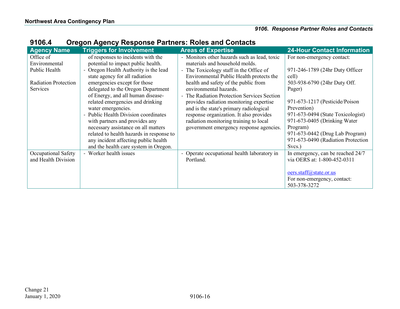| <b>Agency Name</b>                                                                     | <b>Triggers for Involvement</b>                                                                                                                                                                                                                                                                                                                                                                                                                                                       | <b>Areas of Expertise</b>                                                                                                                                                                                                                                                                                                                                                                                                                                                                                                            | <b>24-Hour Contact Information</b>                                                                                                                                                                                                                                                     |
|----------------------------------------------------------------------------------------|---------------------------------------------------------------------------------------------------------------------------------------------------------------------------------------------------------------------------------------------------------------------------------------------------------------------------------------------------------------------------------------------------------------------------------------------------------------------------------------|--------------------------------------------------------------------------------------------------------------------------------------------------------------------------------------------------------------------------------------------------------------------------------------------------------------------------------------------------------------------------------------------------------------------------------------------------------------------------------------------------------------------------------------|----------------------------------------------------------------------------------------------------------------------------------------------------------------------------------------------------------------------------------------------------------------------------------------|
| Office of<br>Environmental<br>Public Health<br><b>Radiation Protection</b><br>Services | of responses to incidents with the<br>potential to impact public health.<br>- Oregon Health Authority is the lead<br>state agency for all radiation<br>emergencies except for those<br>delegated to the Oregon Department<br>of Energy, and all human disease-<br>related emergencies and drinking<br>water emergencies.<br>- Public Health Division coordinates<br>with partners and provides any<br>necessary assistance on all matters<br>related to health hazards in response to | - Monitors other hazards such as lead, toxic<br>materials and household molds.<br>The Toxicology staff in the Office of<br>$\overline{\phantom{a}}$<br>Environmental Public Health protects the<br>health and safety of the public from<br>environmental hazards.<br>The Radiation Protection Services Section<br>provides radiation monitoring expertise<br>and is the state's primary radiological<br>response organization. It also provides<br>radiation monitoring training to local<br>government emergency response agencies. | For non-emergency contact:<br>971-246-1789 (24hr Duty Officer<br>cell)<br>503-938-6790 (24hr Duty Off.<br>Pager)<br>971-673-1217 (Pesticide/Poison<br>Prevention)<br>971-673-0494 (State Toxicologist)<br>971-673-0405 (Drinking Water)<br>Program)<br>971-673-0442 (Drug Lab Program) |
|                                                                                        | any incident affecting public health<br>and the health care system in Oregon.                                                                                                                                                                                                                                                                                                                                                                                                         |                                                                                                                                                                                                                                                                                                                                                                                                                                                                                                                                      | 971-673-0490 (Radiation Protection<br>Svcs.)                                                                                                                                                                                                                                           |
| Occupational Safety<br>and Health Division                                             | - Worker health issues                                                                                                                                                                                                                                                                                                                                                                                                                                                                | Operate occupational health laboratory in<br>$\overline{\phantom{0}}$<br>Portland.                                                                                                                                                                                                                                                                                                                                                                                                                                                   | In emergency, can be reached 24/7<br>via OERS at: 1-800-452-0311                                                                                                                                                                                                                       |
|                                                                                        |                                                                                                                                                                                                                                                                                                                                                                                                                                                                                       |                                                                                                                                                                                                                                                                                                                                                                                                                                                                                                                                      | oers.staff@state.or.us<br>For non-emergency, contact:<br>503-378-3272                                                                                                                                                                                                                  |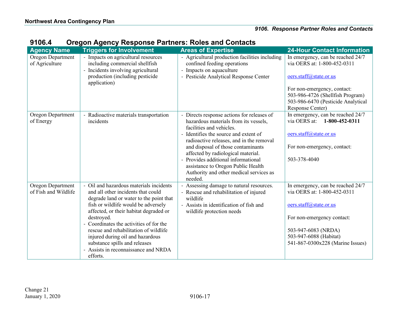| <b>Agency Name</b>                        | <b>Triggers for Involvement</b>                                                                                                                                                                                                                                                                                                                                                                                                  | <b>Areas of Expertise</b>                                                                                                                                                                                                                                                                                                                                                                                       | <b>24-Hour Contact Information</b>                                                                                                                                                                            |
|-------------------------------------------|----------------------------------------------------------------------------------------------------------------------------------------------------------------------------------------------------------------------------------------------------------------------------------------------------------------------------------------------------------------------------------------------------------------------------------|-----------------------------------------------------------------------------------------------------------------------------------------------------------------------------------------------------------------------------------------------------------------------------------------------------------------------------------------------------------------------------------------------------------------|---------------------------------------------------------------------------------------------------------------------------------------------------------------------------------------------------------------|
| Oregon Department<br>of Agriculture       | - Impacts on agricultural resources<br>including commercial shellfish<br>Incidents involving agricultural<br>production (including pesticide<br>application)                                                                                                                                                                                                                                                                     | - Agricultural production facilities including<br>confined feeding operations<br>- Impacts on aquaculture<br>- Pesticide Analytical Response Center                                                                                                                                                                                                                                                             | In emergency, can be reached 24/7<br>via OERS at: 1-800-452-0311<br>oers.staff@state.or.us<br>For non-emergency, contact:<br>503-986-4726 (Shellfish Program)<br>503-986-6470 (Pesticide Analytical           |
| Oregon Department<br>of Energy            | Radioactive materials transportation<br>$\overline{\phantom{0}}$<br>incidents                                                                                                                                                                                                                                                                                                                                                    | Directs response actions for releases of<br>hazardous materials from its vessels,<br>facilities and vehicles.<br>- Identifies the source and extent of<br>radioactive releases, and in the removal<br>and disposal of those contaminants<br>affected by radiological material.<br>Provides additional informational<br>assistance to Oregon Public Health<br>Authority and other medical services as<br>needed. | Response Center)<br>In emergency, can be reached 24/7<br>via OERS at:<br>1-800-452-0311<br>oers.staff@state.or.us<br>For non-emergency, contact:<br>503-378-4040                                              |
| Oregon Department<br>of Fish and Wildlife | Oil and hazardous materials incidents<br>and all other incidents that could<br>degrade land or water to the point that<br>fish or wildlife would be adversely<br>affected, or their habitat degraded or<br>destroyed.<br>Coordinates the activities of for the<br>rescue and rehabilitation of wildlife<br>injured during oil and hazardous<br>substance spills and releases<br>- Assists in reconnaissance and NRDA<br>efforts. | Assessing damage to natural resources.<br>- Rescue and rehabilitation of injured<br>wildlife<br>- Assists in identification of fish and<br>wildlife protection needs                                                                                                                                                                                                                                            | In emergency, can be reached 24/7<br>via OERS at: 1-800-452-0311<br>oers.staff@state.or.us<br>For non-emergency contact:<br>503-947-6083 (NRDA)<br>503-947-6088 (Habitat)<br>541-867-0300x228 (Marine Issues) |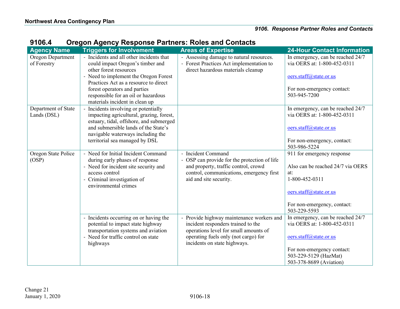| <b>Agency Name</b>  | <b>Triggers for Involvement</b>                                       | <b>Areas of Expertise</b>                  | <b>24-Hour Contact Information</b>                                             |
|---------------------|-----------------------------------------------------------------------|--------------------------------------------|--------------------------------------------------------------------------------|
| Oregon Department   | - Incidents and all other incidents that                              | - Assessing damage to natural resources.   | In emergency, can be reached 24/7                                              |
| of Forestry         | could impact Oregon's timber and                                      | - Forest Practices Act implementation to   | via OERS at: 1-800-452-0311                                                    |
|                     | other forest resources                                                | direct hazardous materials cleanup         |                                                                                |
|                     | - Need to implement the Oregon Forest                                 |                                            | oers.staff@state.or.us                                                         |
|                     | Practices Act as a resource to direct                                 |                                            |                                                                                |
|                     | forest operators and parties                                          |                                            | For non-emergency contact:                                                     |
|                     | responsible for an oil or hazardous<br>materials incident in clean up |                                            | 503-945-7200                                                                   |
| Department of State | - Incidents involving or potentially                                  |                                            | In emergency, can be reached 24/7                                              |
| Lands (DSL)         | impacting agricultural, grazing, forest,                              |                                            | via OERS at: 1-800-452-0311                                                    |
|                     | estuary, tidal, offshore, and submerged                               |                                            |                                                                                |
|                     | and submersible lands of the State's                                  |                                            | oers.staff@state.or.us                                                         |
|                     | navigable waterways including the                                     |                                            |                                                                                |
|                     | territorial sea managed by DSL                                        |                                            | For non-emergency, contact:                                                    |
|                     |                                                                       |                                            | 503-986-5224                                                                   |
| Oregon State Police | - Need for Initial Incident Command                                   | - Incident Command                         | 911 for emergency response                                                     |
| (OSP)               | during early phases of response                                       | OSP can provide for the protection of life |                                                                                |
|                     | - Need for incident site security and                                 | and property, traffic control, crowd       | Also can be reached 24/7 via OERS                                              |
|                     | access control                                                        | control, communications, emergency first   | at:                                                                            |
|                     | - Criminal investigation of<br>environmental crimes                   | aid and site security.                     | 1-800-452-0311                                                                 |
|                     |                                                                       |                                            | oers.staff@state.or.us                                                         |
|                     |                                                                       |                                            |                                                                                |
|                     |                                                                       |                                            | For non-emergency, contact:                                                    |
|                     |                                                                       |                                            | 503-229-5593                                                                   |
|                     | - Incidents occurring on or having the                                | Provide highway maintenance workers and    | In emergency, can be reached 24/7                                              |
|                     | potential to impact state highway                                     | incident responders trained to the         | via OERS at: 1-800-452-0311                                                    |
|                     | transportation systems and aviation                                   | operations level for small amounts of      |                                                                                |
|                     | - Need for traffic control on state                                   | operating fuels only (not cargo) for       | oers.staff@state.or.us                                                         |
|                     |                                                                       |                                            |                                                                                |
|                     |                                                                       |                                            |                                                                                |
|                     |                                                                       |                                            |                                                                                |
|                     | highways                                                              | incidents on state highways.               | For non-emergency contact:<br>503-229-5129 (HazMat)<br>503-378-8689 (Aviation) |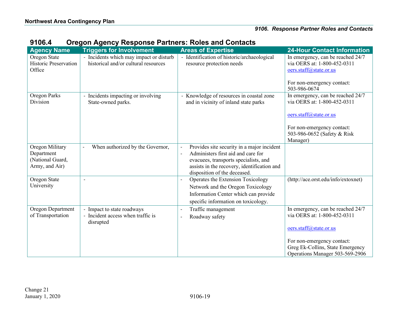| <b>Agency Name</b>                                                  | <b>Triggers for Involvement</b>                                                 | <b>Areas of Expertise</b>                                                                                                                                                                                                            | <b>24-Hour Contact Information</b>                                                                                       |
|---------------------------------------------------------------------|---------------------------------------------------------------------------------|--------------------------------------------------------------------------------------------------------------------------------------------------------------------------------------------------------------------------------------|--------------------------------------------------------------------------------------------------------------------------|
| Oregon State<br><b>Historic Preservation</b><br>Office              | - Incidents which may impact or disturb<br>historical and/or cultural resources | - Identification of historic/archaeological<br>resource protection needs                                                                                                                                                             | In emergency, can be reached 24/7<br>via OERS at: 1-800-452-0311<br>oers.staff@state.or.us<br>For non-emergency contact: |
| <b>Oregon Parks</b>                                                 | Incidents impacting or involving                                                | Knowledge of resources in coastal zone                                                                                                                                                                                               | 503-986-0674<br>In emergency, can be reached 24/7                                                                        |
| Division                                                            | State-owned parks.                                                              | and in vicinity of inland state parks                                                                                                                                                                                                | via OERS at: 1-800-452-0311                                                                                              |
|                                                                     |                                                                                 |                                                                                                                                                                                                                                      | oers.staff@state.or.us                                                                                                   |
|                                                                     |                                                                                 |                                                                                                                                                                                                                                      | For non-emergency contact:<br>503-986-0652 (Safety & Risk<br>Manager)                                                    |
| Oregon Military<br>Department<br>(National Guard,<br>Army, and Air) | When authorized by the Governor,                                                | Provides site security in a major incident<br>Administers first aid and care for<br>$\overline{\phantom{a}}$<br>evacuees, transports specialists, and<br>assists in the recovery, identification and<br>disposition of the deceased. |                                                                                                                          |
| Oregon State<br>University                                          | $\overline{\phantom{a}}$                                                        | Operates the Extension Toxicology<br>Network and the Oregon Toxicology<br>Information Center which can provide<br>specific information on toxicology.                                                                                | (http://ace.orst.edu/info/extoxnet)                                                                                      |
| Oregon Department<br>of Transportation                              | Impact to state roadways<br>- Incident access when traffic is<br>disrupted      | Traffic management<br>$\overline{\phantom{0}}$<br>Roadway safety<br>$\qquad \qquad -$                                                                                                                                                | In emergency, can be reached 24/7<br>via OERS at: 1-800-452-0311<br>oers.staff@state.or.us                               |
|                                                                     |                                                                                 |                                                                                                                                                                                                                                      | For non-emergency contact:<br>Greg Ek-Collins, State Emergency<br>Operations Manager 503-569-2906                        |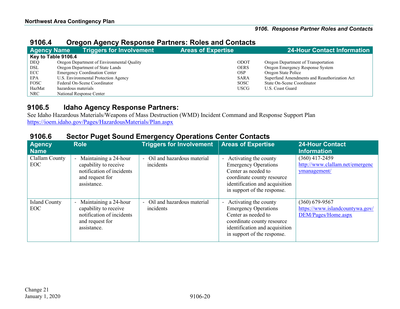## **9106.4 Oregon Agency Response Partners: Roles and Contacts**

| <b>Agency Name</b>  | <b>Triggers for Involvement</b>            | <b>Areas of Expertise</b> | <b>24-Hour Contact Information</b>           |
|---------------------|--------------------------------------------|---------------------------|----------------------------------------------|
| Key to Table 9106.4 |                                            |                           |                                              |
| <b>DEQ</b>          | Oregon Department of Environmental Quality | ODOT                      | Oregon Department of Transportation          |
| DSL                 | Oregon Department of State Lands           | <b>OERS</b>               | Oregon Emergency Response System             |
| ECC                 | <b>Emergency Coordination Center</b>       | <b>OSP</b>                | Oregon State Police                          |
| EPA                 | U.S. Environmental Protection Agency       | <b>SARA</b>               | Superfund Amendments and Reauthorization Act |
| <b>FOSC</b>         | Federal On-Scene Coordinator               | <b>SOSC</b>               | State On-Scene Coordinator                   |
| HazMat              | hazardous materials                        | <b>USCG</b>               | U.S. Coast Guard                             |
| NRC                 | National Response Center                   |                           |                                              |

## **9106.5 Idaho Agency Response Partners:**

See Idaho Hazardous Materials/Weapons of Mass Destruction (WMD) Incident Command and Response Support Plan <https://ioem.idaho.gov/Pages/HazardousMaterials/Plan.aspx>

<span id="page-21-1"></span><span id="page-21-0"></span>

| $\cdots$<br>$50$ , $60$      |                                                                                                               |                                                    |                                                                                                                                                                              |                                                                            |  |  |
|------------------------------|---------------------------------------------------------------------------------------------------------------|----------------------------------------------------|------------------------------------------------------------------------------------------------------------------------------------------------------------------------------|----------------------------------------------------------------------------|--|--|
| Agency<br><b>Name</b>        | <b>Role</b>                                                                                                   | <b>Triggers for Involvement Areas of Expertise</b> |                                                                                                                                                                              | <b>24-Hour Contact</b><br><b>Information</b>                               |  |  |
| Clallam County<br><b>EOC</b> | Maintaining a 24-hour<br>capability to receive<br>notification of incidents<br>and request for<br>assistance. | - Oil and hazardous material<br>incidents          | - Activating the county<br><b>Emergency Operations</b><br>Center as needed to<br>coordinate county resource<br>identification and acquisition<br>in support of the response. | $(360)$ 417-2459<br>http://www.clallam.net/emergenc<br>ymanagement/        |  |  |
| <b>Island County</b><br>EOC  | Maintaining a 24-hour<br>capability to receive<br>notification of incidents<br>and request for<br>assistance. | Oil and hazardous material<br>incidents            | - Activating the county<br><b>Emergency Operations</b><br>Center as needed to<br>coordinate county resource<br>identification and acquisition<br>in support of the response. | $(360)$ 679-9567<br>https://www.islandcountywa.gov/<br>DEM/Pages/Home.aspx |  |  |

## **9106.6 Sector Puget Sound Emergency Operations Center Contacts**